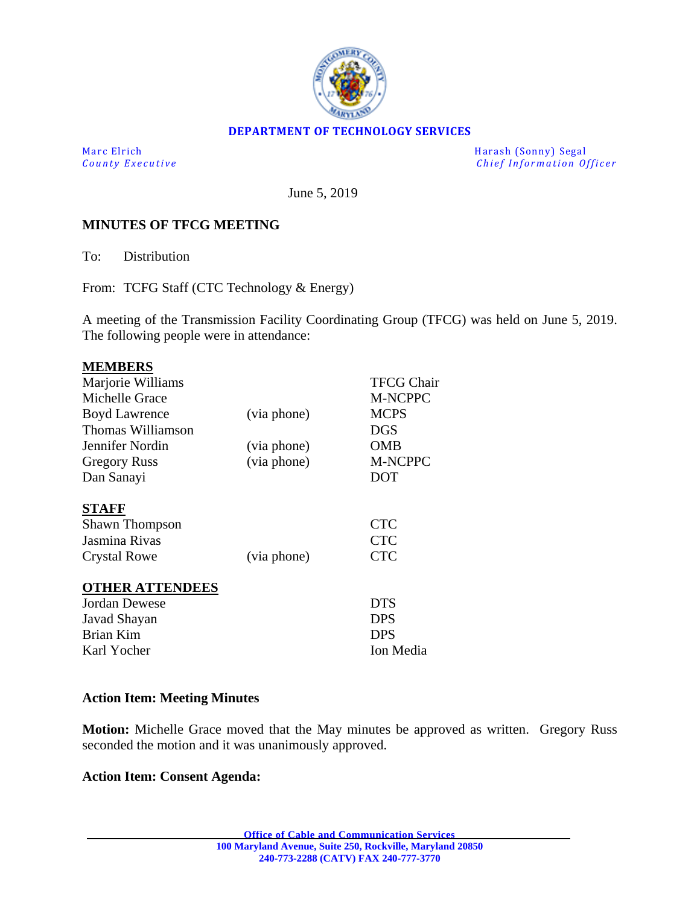

#### **DEPARTMENT OF TECHNOLOGY SERVICES**

Marc Elrich Harash (Sonny) Segal<br>
County Executive Chief Information Of *Chief Information Officer* 

June 5, 2019

#### **MINUTES OF TFCG MEETING**

To: Distribution

From: TCFG Staff (CTC Technology & Energy)

A meeting of the Transmission Facility Coordinating Group (TFCG) was held on June 5, 2019. The following people were in attendance:

| <b>MEMBERS</b>         |             |                   |
|------------------------|-------------|-------------------|
| Marjorie Williams      |             | <b>TFCG Chair</b> |
| Michelle Grace         |             | <b>M-NCPPC</b>    |
| <b>Boyd Lawrence</b>   | (via phone) | <b>MCPS</b>       |
| Thomas Williamson      |             | <b>DGS</b>        |
| Jennifer Nordin        | (via phone) | OMB               |
| <b>Gregory Russ</b>    | (via phone) | <b>M-NCPPC</b>    |
| Dan Sanayi             |             | <b>DOT</b>        |
|                        |             |                   |
| <b>STAFF</b>           |             |                   |
| <b>Shawn Thompson</b>  |             | <b>CTC</b>        |
| Jasmina Rivas          |             | <b>CTC</b>        |
| <b>Crystal Rowe</b>    | (via phone) | <b>CTC</b>        |
|                        |             |                   |
| <b>OTHER ATTENDEES</b> |             |                   |
| Jordan Dewese          |             | <b>DTS</b>        |
| Javad Shayan           |             | <b>DPS</b>        |
| Brian Kim              |             | DPS               |
| Karl Yocher            |             | Ion Media         |

#### **Action Item: Meeting Minutes**

**Motion:** Michelle Grace moved that the May minutes be approved as written. Gregory Russ seconded the motion and it was unanimously approved.

#### **Action Item: Consent Agenda:**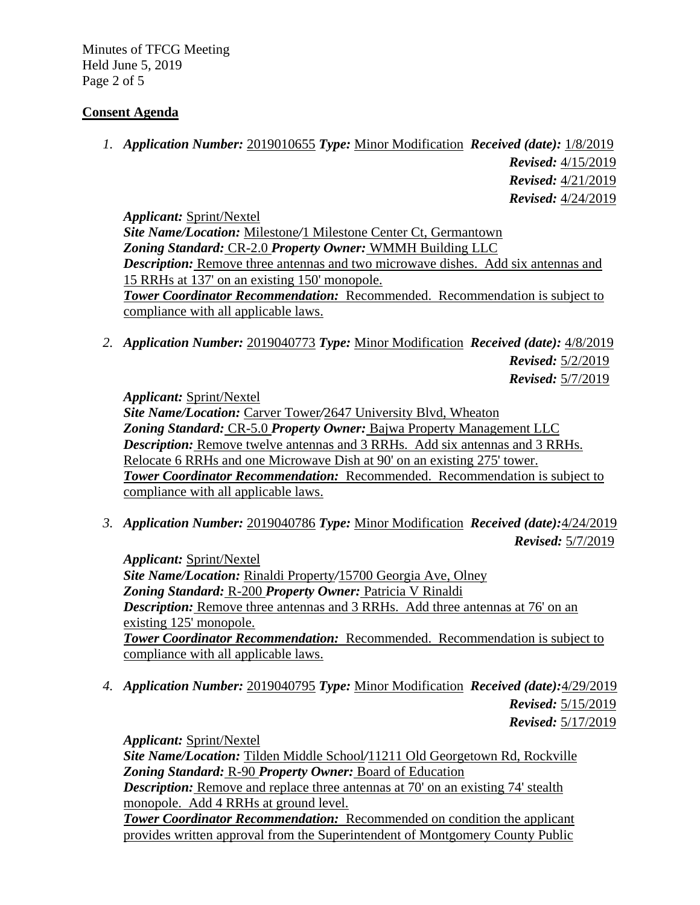Minutes of TFCG Meeting Held June 5, 2019 Page 2 of 5

## **Consent Agenda**

*1. Application Number:* 2019010655 *Type:* Minor Modification *Received (date):* 1/8/2019 *Revised:* 4/15/2019 *Revised:* 4/21/2019 *Revised:* 4/24/2019

*Applicant:* Sprint/Nextel *Site Name/Location:* Milestone*/*1 Milestone Center Ct, Germantown *Zoning Standard:* CR-2.0 *Property Owner:* WMMH Building LLC *Description:* Remove three antennas and two microwave dishes. Add six antennas and 15 RRHs at 137' on an existing 150' monopole. *Tower Coordinator Recommendation:* Recommended. Recommendation is subject to compliance with all applicable laws.

*2. Application Number:* 2019040773 *Type:* Minor Modification *Received (date):* 4/8/2019 *Revised:* 5/2/2019 *Revised:* 5/7/2019

*Applicant:* Sprint/Nextel

*Site Name/Location:* Carver Tower*/*2647 University Blvd, Wheaton *Zoning Standard:* CR-5.0 *Property Owner:* Bajwa Property Management LLC *Description:* Remove twelve antennas and 3 RRHs. Add six antennas and 3 RRHs. Relocate 6 RRHs and one Microwave Dish at 90' on an existing 275' tower. *Tower Coordinator Recommendation:* Recommended. Recommendation is subject to compliance with all applicable laws.

*3. Application Number:* 2019040786 *Type:* Minor Modification *Received (date):*4/24/2019

*Revised:* 5/7/2019

*Applicant:* Sprint/Nextel *Site Name/Location:* Rinaldi Property*/*15700 Georgia Ave, Olney *Zoning Standard:* R-200 *Property Owner:* Patricia V Rinaldi *Description:* Remove three antennas and 3 RRHs. Add three antennas at 76' on an existing 125' monopole. *Tower Coordinator Recommendation:* Recommended. Recommendation is subject to compliance with all applicable laws.

*4. Application Number:* 2019040795 *Type:* Minor Modification *Received (date):*4/29/2019 *Revised:* 5/15/2019 *Revised:* 5/17/2019

*Applicant:* Sprint/Nextel *Site Name/Location:* Tilden Middle School*/*11211 Old Georgetown Rd, Rockville *Zoning Standard:* R-90 *Property Owner:* Board of Education *Description:* Remove and replace three antennas at 70' on an existing 74' stealth monopole. Add 4 RRHs at ground level. **Tower Coordinator Recommendation:** Recommended on condition the applicant provides written approval from the Superintendent of Montgomery County Public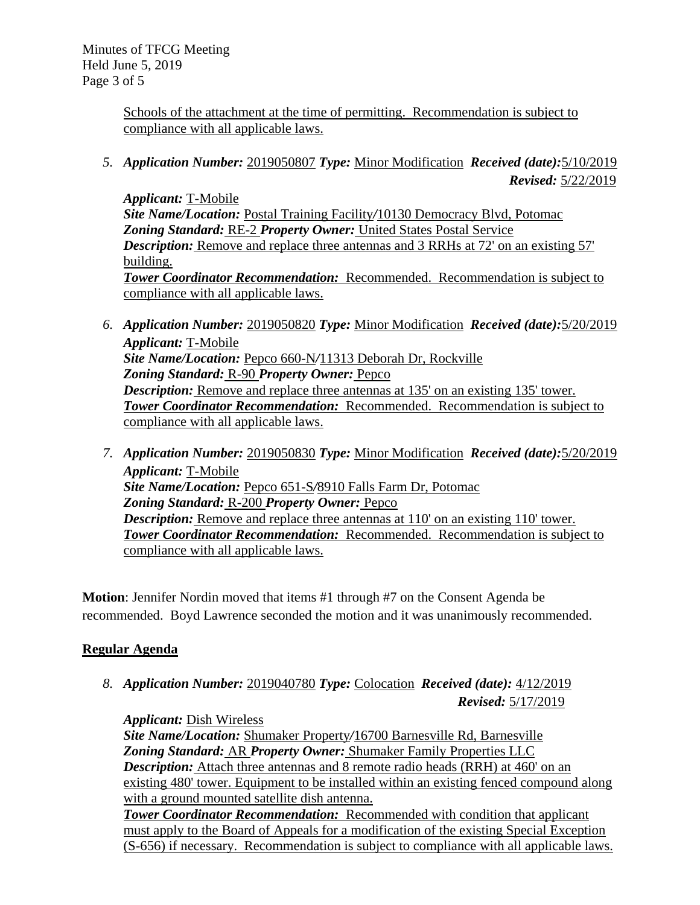Minutes of TFCG Meeting Held June 5, 2019 Page 3 of 5

> Schools of the attachment at the time of permitting. Recommendation is subject to compliance with all applicable laws.

*5. Application Number:* 2019050807 *Type:* Minor Modification *Received (date):*5/10/2019 *Revised:* 5/22/2019

*Applicant:* T-Mobile *Site Name/Location:* Postal Training Facility*/*10130 Democracy Blvd, Potomac *Zoning Standard:* RE-2 *Property Owner:* United States Postal Service *Description:* Remove and replace three antennas and 3 RRHs at 72' on an existing 57' building. *Tower Coordinator Recommendation:* Recommended. Recommendation is subject to compliance with all applicable laws.

- *6. Application Number:* 2019050820 *Type:* Minor Modification *Received (date):*5/20/2019 *Applicant:* T-Mobile *Site Name/Location:* Pepco 660-N*/*11313 Deborah Dr, Rockville *Zoning Standard:* R-90 *Property Owner:* Pepco *Description:* Remove and replace three antennas at 135' on an existing 135' tower. *Tower Coordinator Recommendation:* Recommended. Recommendation is subject to compliance with all applicable laws.
- *7. Application Number:* 2019050830 *Type:* Minor Modification *Received (date):*5/20/2019 *Applicant:* T-Mobile *Site Name/Location:* Pepco 651-S*/*8910 Falls Farm Dr, Potomac *Zoning Standard:* R-200 *Property Owner:* Pepco *Description:* Remove and replace three antennas at 110' on an existing 110' tower. *Tower Coordinator Recommendation:* Recommended. Recommendation is subject to compliance with all applicable laws.

**Motion**: Jennifer Nordin moved that items #1 through #7 on the Consent Agenda be recommended. Boyd Lawrence seconded the motion and it was unanimously recommended.

# **Regular Agenda**

*8. Application Number:* 2019040780 *Type:* Colocation *Received (date):* 4/12/2019 *Revised:* 5/17/2019

*Applicant:* Dish Wireless

*Site Name/Location:* Shumaker Property*/*16700 Barnesville Rd, Barnesville *Zoning Standard:* AR *Property Owner:* Shumaker Family Properties LLC *Description:* Attach three antennas and 8 remote radio heads (RRH) at 460' on an existing 480' tower. Equipment to be installed within an existing fenced compound along with a ground mounted satellite dish antenna.

*Tower Coordinator Recommendation:* Recommended with condition that applicant must apply to the Board of Appeals for a modification of the existing Special Exception (S-656) if necessary. Recommendation is subject to compliance with all applicable laws.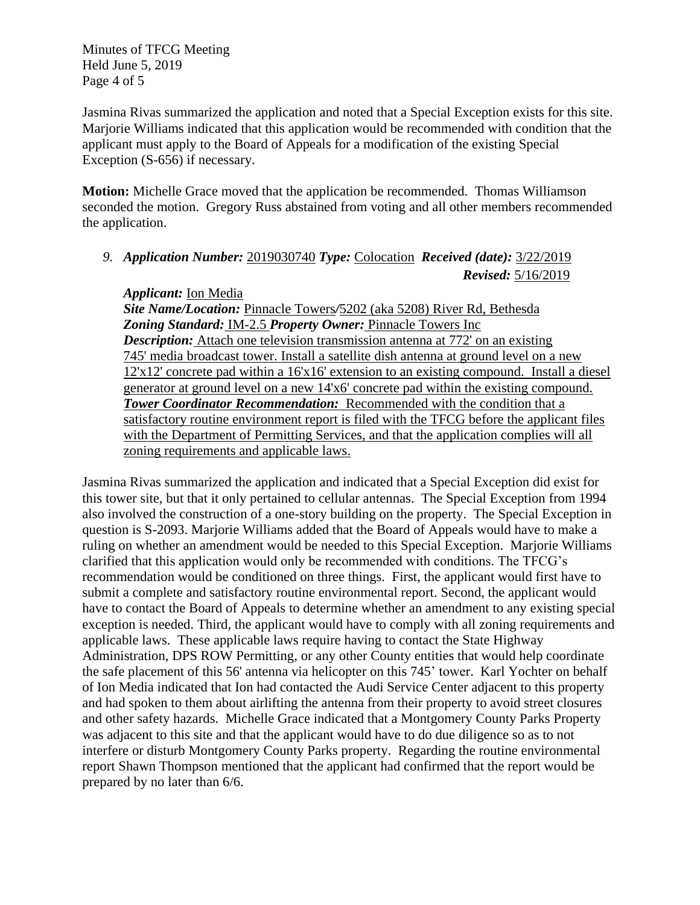Minutes of TFCG Meeting Held June 5, 2019 Page 4 of 5

Jasmina Rivas summarized the application and noted that a Special Exception exists for this site. Marjorie Williams indicated that this application would be recommended with condition that the applicant must apply to the Board of Appeals for a modification of the existing Special Exception (S-656) if necessary.

**Motion:** Michelle Grace moved that the application be recommended. Thomas Williamson seconded the motion. Gregory Russ abstained from voting and all other members recommended the application.

*9. Application Number:* 2019030740 *Type:* Colocation *Received (date):* 3/22/2019 *Revised:* 5/16/2019

## *Applicant:* Ion Media

*Site Name/Location:* Pinnacle Towers*/*5202 (aka 5208) River Rd, Bethesda *Zoning Standard:* IM-2.5 *Property Owner:* Pinnacle Towers Inc *Description:* Attach one television transmission antenna at 772' on an existing 745' media broadcast tower. Install a satellite dish antenna at ground level on a new 12'x12' concrete pad within a 16'x16' extension to an existing compound. Install a diesel generator at ground level on a new 14'x6' concrete pad within the existing compound. *Tower Coordinator Recommendation:* Recommended with the condition that a satisfactory routine environment report is filed with the TFCG before the applicant files with the Department of Permitting Services, and that the application complies will all zoning requirements and applicable laws.

Jasmina Rivas summarized the application and indicated that a Special Exception did exist for this tower site, but that it only pertained to cellular antennas. The Special Exception from 1994 also involved the construction of a one-story building on the property. The Special Exception in question is S-2093. Marjorie Williams added that the Board of Appeals would have to make a ruling on whether an amendment would be needed to this Special Exception. Marjorie Williams clarified that this application would only be recommended with conditions. The TFCG's recommendation would be conditioned on three things. First, the applicant would first have to submit a complete and satisfactory routine environmental report. Second, the applicant would have to contact the Board of Appeals to determine whether an amendment to any existing special exception is needed. Third, the applicant would have to comply with all zoning requirements and applicable laws. These applicable laws require having to contact the State Highway Administration, DPS ROW Permitting, or any other County entities that would help coordinate the safe placement of this 56' antenna via helicopter on this 745' tower. Karl Yochter on behalf of Ion Media indicated that Ion had contacted the Audi Service Center adjacent to this property and had spoken to them about airlifting the antenna from their property to avoid street closures and other safety hazards. Michelle Grace indicated that a Montgomery County Parks Property was adjacent to this site and that the applicant would have to do due diligence so as to not interfere or disturb Montgomery County Parks property. Regarding the routine environmental report Shawn Thompson mentioned that the applicant had confirmed that the report would be prepared by no later than 6/6.